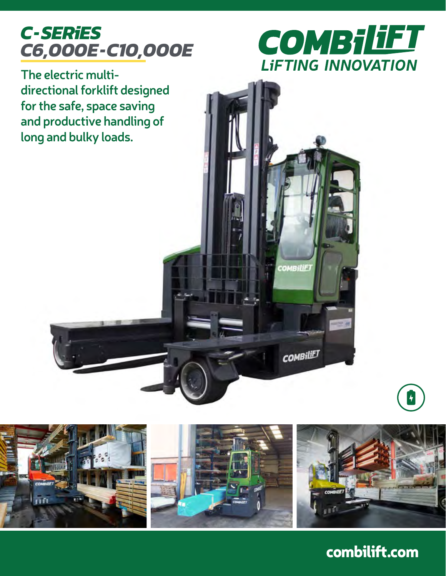## *C-SERiES C6,000E-C10,000E*



COMBILIET

**COMBILIET** 

**The electric multidirectional forklift designed for the safe, space saving and productive handling of long and bulky loads.**



combilift.com

 $\vert \hspace{-.07cm} \big\vert$